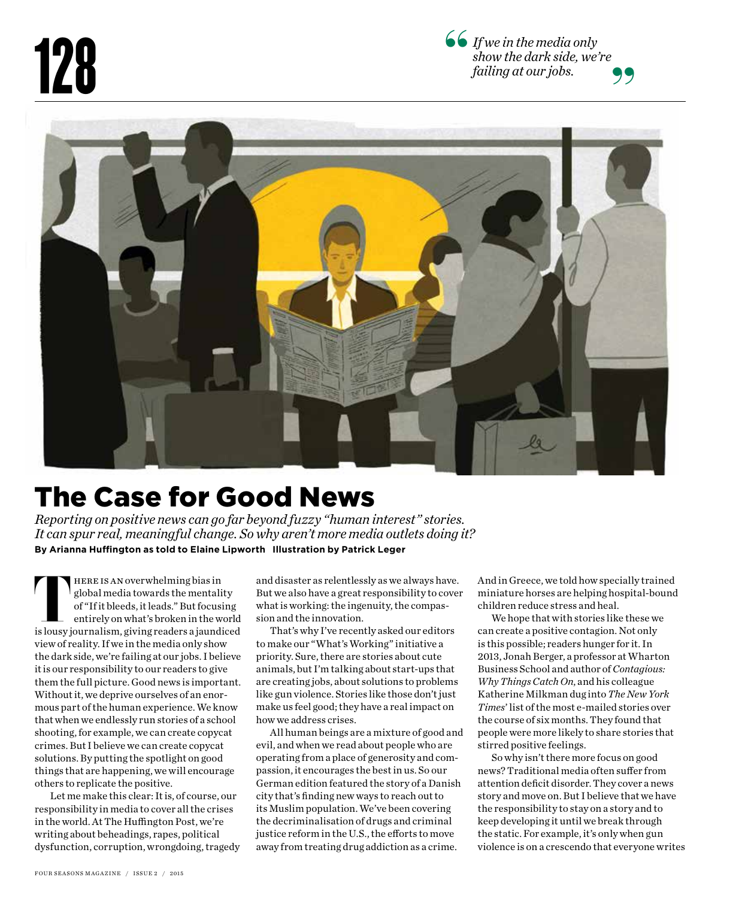





## The Case for Good News

*Reporting on positive news can go far beyond fuzzy "human interest" stories. It can spur real, meaningful change. So why aren't more media outlets doing it?* **By Arianna Hufngton as told to Elaine Lipworth Illustration by Patrick Leger**

here is anoverwhelming bias in global media towards the mentality of "If it bleeds, it leads." But focusing entirely on what's broken in the world FIFRE IS AN overwhelming bias in<br>global media towards the mentality<br>of "If it bleeds, it leads." But focusing<br>entirely on what's broken in the world<br>is lousy journalism, giving readers a jaundiced view of reality. If we in the media only show the dark side, we're failing at our jobs. I believe it is our responsibility to our readers to give them the full picture. Good news is important. Without it, we deprive ourselves of an enormous part of the human experience. We know that when we endlessly run stories of a school shooting, for example, we can create copycat crimes. But I believe we can create copycat solutions. By putting the spotlight on good things that are happening, we will encourage others to replicate the positive.

 Let me make this clear: It is, of course, our responsibility in media to cover all the crises in the world. At The Huffington Post, we're writing about beheadings, rapes, political dysfunction, corruption, wrongdoing, tragedy

and disaster as relentlessly as we always have. But we also have a great responsibility to cover what is working: the ingenuity, the compassion and the innovation.

That's why I've recently asked our editors to make our "What's Working" initiative a priority. Sure, there are stories about cute animals, but I'm talking about start-ups that are creating jobs, about solutions to problems like gun violence. Stories like those don't just make us feel good; they have a real impact on how we address crises.

All human beings are a mixture of good and evil, and when we read about people who are operating from a place of generosity and compassion, it encourages the best in us. So our German edition featured the story of a Danish city that's finding new ways to reach out to its Muslim population. We've been covering the decriminalisation of drugs and criminal justice reform in the U.S., the efforts to move away from treating drug addiction as a crime.

And in Greece, we told how specially trained miniature horses are helping hospital-bound children reduce stress and heal.

We hope that with stories like these we can create a positive contagion. Not only is this possible; readers hunger for it. In 2013, Jonah Berger, a professor at Wharton Business School and author of *Contagious: Why Things Catch On*, and his colleague Katherine Milkman dug into *The New York Times*' list of the most e-mailed stories over the course of six months. They found that people were more likely to share stories that stirred positive feelings.

So why isn't there more focus on good news? Traditional media often sufer from attention deficit disorder. They cover a news story and move on. But I believe that we have the responsibility to stay on a story and to keep developing it until we break through the static. For example, it's only when gun violence is on a crescendo that everyone writes